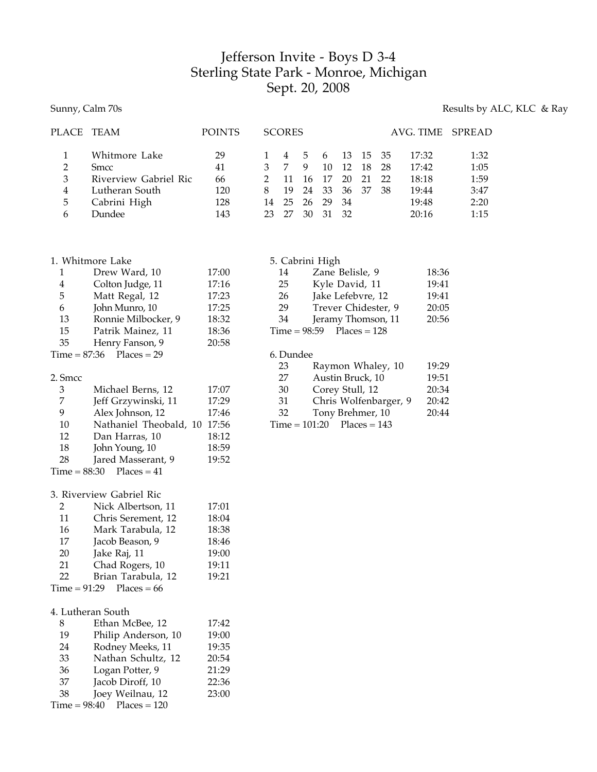# Jefferson Invite - Boys D 3-4 Sterling State Park - Monroe, Michigan Sept. 20, 2008

## Sunny, Calm 70s Results by ALC, KLC & Ray

| PLACE TEAM    |                       | <b>POINTS</b> |    | <b>SCORES</b> |     |     |     |          |    | AVG. TIME SPREAD |      |
|---------------|-----------------------|---------------|----|---------------|-----|-----|-----|----------|----|------------------|------|
|               | Whitmore Lake         | 29            |    |               | - 5 | 6   |     | 13 15 35 |    | 17:32            | 1:32 |
| $\mathcal{L}$ | <b>Smcc</b>           | 41            |    |               | -9  | 10  | 12  | 18       | 28 | 17:42            | 1:05 |
| 3             | Riverview Gabriel Ric | 66            |    |               | 16  | 17  | 20  | 21       | 22 | 18:18            | 1:59 |
| 4             | Lutheran South        | 120           |    | 19            | 24  | -33 | 36  | - 37     | 38 | 19:44            | 3:47 |
| 5             | Cabrini High          | 128           | 14 | 25            | 26  | 29  | -34 |          |    | 19:48            | 2:20 |
| h             | Dundee                | 143           | 23 |               | 30  | 31  | 32  |          |    | 20:16            | 1:15 |

| 1. Whitmore Lake |  |
|------------------|--|
|                  |  |

| 1         | Drew Ward, 10       | 17:00 |
|-----------|---------------------|-------|
| 4         | Colton Judge, 11    | 17:16 |
| 5         | Matt Regal, 12      | 17:23 |
| 6         | John Munro, 10      | 17:25 |
| 13        | Ronnie Milbocker, 9 | 18:32 |
| 15        | Patrik Mainez, 11   | 18:36 |
| 35        | Henry Fanson, 9     | 20:58 |
| ہ جمعہ 15 | $07.26$ Dlagge      |       |

### 2. Smcc

| 3  | Michael Berns, 12          | 17:07 |
|----|----------------------------|-------|
| 7  | Jeff Grzywinski, 11        | 17:29 |
| q  | Alex Johnson, 12           | 17:46 |
| 10 | Nathaniel Theobald, 10     | 17:56 |
| 12 | Dan Harras, 10             | 18:12 |
| 18 | John Young, 10             | 18:59 |
| 28 | Jared Masserant, 9         | 19:52 |
|    | $Time = 88:30$ Places = 41 |       |

### 3. Riverview Gabriel Ric

| $\mathcal{P}$ | Nick Albertson, 11         | 17:01 |
|---------------|----------------------------|-------|
| 11            | Chris Serement, 12         | 18:04 |
| 16            | Mark Tarabula, 12          | 18:38 |
| 17            | Jacob Beason, 9            | 18:46 |
| 20            | Jake Raj, 11               | 19:00 |
| 21            | Chad Rogers, 10            | 19:11 |
| 22            | Brian Tarabula, 12         | 19:21 |
|               | Time = $91:29$ Places = 66 |       |

## 4. Lutheran South

| 8  | Ethan McBee, 12             | 17:42 |
|----|-----------------------------|-------|
| 19 | Philip Anderson, 10         | 19:00 |
| 24 | Rodney Meeks, 11            | 19:35 |
| 33 | Nathan Schultz, 12          | 20:54 |
| 36 | Logan Potter, 9             | 21:29 |
| 37 | Jacob Diroff, 10            | 22:36 |
| 38 | Joey Weilnau, 12            | 23:00 |
|    | $Time = 98:40$ Places = 120 |       |

|    | 5. Cabrini High               |       |
|----|-------------------------------|-------|
| 14 | Zane Belisle, 9               | 18:36 |
| 25 | Kyle David, 11                | 19:41 |
| 26 | Jake Lefebvre, 12             | 19:41 |
| 29 | Trever Chidester, 9           | 20:05 |
| 34 | Jeramy Thomson, 11            | 20:56 |
|    | Time = $98:59$ Places = $128$ |       |
|    |                               |       |
|    |                               |       |

#### 6. Dundee

| 23 | Raymon Whaley, 10            | 19:29 |
|----|------------------------------|-------|
| 27 | Austin Bruck, 10             | 19:51 |
| 30 | Corey Stull, 12              | 20:34 |
| 31 | Chris Wolfenbarger, 9        | 20:42 |
| 32 | Tony Brehmer, 10             | 20:44 |
|    | $Time = 101:20$ Places = 143 |       |